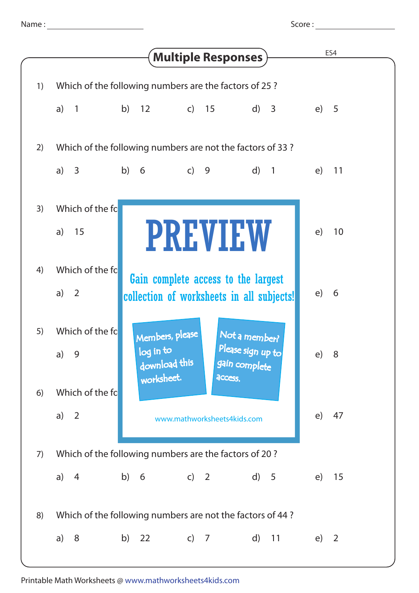| Name |  |
|------|--|
|      |  |

Name : Score : Score : Score : Score : Score : Score : Score : Score : Score : Score : Score : Score : Score : Score : Score : Score : Score : Score : Score : Score : Score : Score : Score : Score : Score : Score : Score :